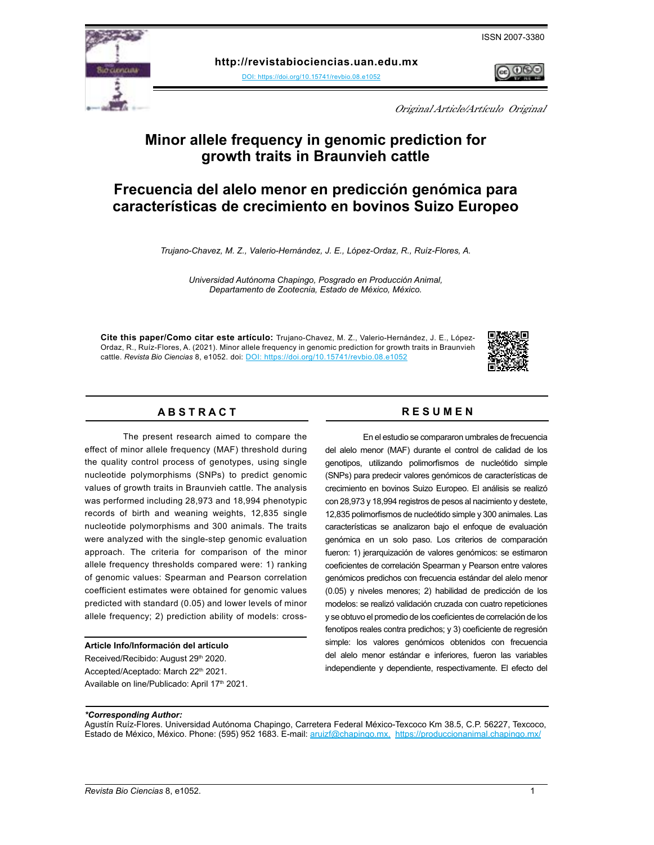ISSN 2007-3380



**http://revistabiociencias.uan.edu.mx** 

DOI: https://doi.org/10.15741/revbio.08.e105[2](DOI: https://doi.org/10.15741/revbio.08.e1052
)



Original Article/Artículo Original

# **Minor allele frequency in genomic prediction for growth traits in Braunvieh cattle**

# **Frecuencia del alelo menor en predicción genómica para características de crecimiento en bovinos Suizo Europeo**

*Trujano-Chavez, M. Z., Valerio-Hernández, J. E., López-Ordaz, R., Ruíz-Flores, A.*

*Universidad Autónoma Chapingo, Posgrado en Producción Animal, Departamento de Zootecnia, Estado de México, México.*

**Cite this paper/Como citar este artículo:** Trujano-Chavez, M. Z., Valerio-Hernández, J. E., López-Ordaz, R., Ruíz-Flores, A. (2021). Minor allele frequency in genomic prediction for growth traits in Braunvieh cattle. *[Revista Bio Ciencias](doi: https://doi.org/10.15741/revbio.08.e982
)* 8, e1052. doi: DOI: https://doi.org/10.15741/revbio.08.e105[2](DOI: https://doi.org/10.15741/revbio.08.e1052
)



## A B S T R A C T RESUMEN

The present research aimed to compare the effect of minor allele frequency (MAF) threshold during the quality control process of genotypes, using single nucleotide polymorphisms (SNPs) to predict genomic values of growth traits in Braunvieh cattle. The analysis was performed including 28,973 and 18,994 phenotypic records of birth and weaning weights, 12,835 single nucleotide polymorphisms and 300 animals. The traits were analyzed with the single-step genomic evaluation approach. The criteria for comparison of the minor allele frequency thresholds compared were: 1) ranking of genomic values: Spearman and Pearson correlation coefficient estimates were obtained for genomic values predicted with standard (0.05) and lower levels of minor allele frequency; 2) prediction ability of models: cross-

## **Article Info/Información del artículo**

Received/Recibido: August 29th 2020. Accepted/Aceptado: March 22<sup>th</sup> 2021. Available on line/Publicado: April 17<sup>th</sup> 2021.

En el estudio se compararon umbrales de frecuencia del alelo menor (MAF) durante el control de calidad de los genotipos, utilizando polimorfismos de nucleótido simple (SNPs) para predecir valores genómicos de características de crecimiento en bovinos Suizo Europeo. El análisis se realizó con 28,973 y 18,994 registros de pesos al nacimiento y destete, 12,835 polimorfismos de nucleótido simple y 300 animales. Las características se analizaron bajo el enfoque de evaluación genómica en un solo paso. Los criterios de comparación fueron: 1) jerarquización de valores genómicos: se estimaron coeficientes de correlación Spearman y Pearson entre valores genómicos predichos con frecuencia estándar del alelo menor (0.05) y niveles menores; 2) habilidad de predicción de los modelos: se realizó validación cruzada con cuatro repeticiones y se obtuvo el promedio de los coeficientes de correlación de los fenotipos reales contra predichos; y 3) coeficiente de regresión simple: los valores genómicos obtenidos con frecuencia del alelo menor estándar e inferiores, fueron las variables independiente y dependiente, respectivamente. El efecto del

#### *\*Corresponding Author:*

Agustín Ruíz-Flores. Universidad Autónoma Chapingo, Carretera Federal México-Texcoco Km 38.5, C.P. 56227, Texcoco, Estado de México, México. Phone: (595) 952 1683. E-mail: [aruizf@chapingo.mx,](mailto:aruizf%40chapingo.mx?subject=) <https://produccionanimal.chapingo.mx/>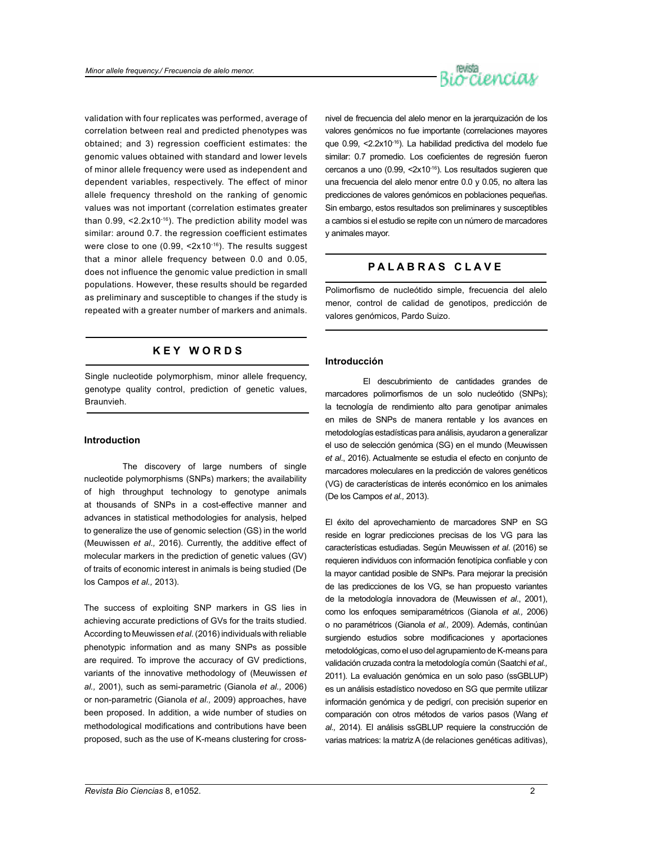

validation with four replicates was performed, average of correlation between real and predicted phenotypes was obtained; and 3) regression coefficient estimates: the genomic values obtained with standard and lower levels of minor allele frequency were used as independent and dependent variables, respectively. The effect of minor allele frequency threshold on the ranking of genomic values was not important (correlation estimates greater than  $0.99$ , <2.2x10<sup>-16</sup>). The prediction ability model was similar: around 0.7. the regression coefficient estimates were close to one (0.99, <2x10<sup>-16</sup>). The results suggest that a minor allele frequency between 0.0 and 0.05, does not influence the genomic value prediction in small populations. However, these results should be regarded as preliminary and susceptible to changes if the study is repeated with a greater number of markers and animals.

## **K E Y W O R D S**

Single nucleotide polymorphism, minor allele frequency, genotype quality control, prediction of genetic values, Braunvieh.

## **Introduction**

The discovery of large numbers of single nucleotide polymorphisms (SNPs) markers; the availability of high throughput technology to genotype animals at thousands of SNPs in a cost-effective manner and advances in statistical methodologies for analysis, helped to generalize the use of genomic selection (GS) in the world (Meuwissen *et al.,* 2016). Currently, the additive effect of molecular markers in the prediction of genetic values (GV) of traits of economic interest in animals is being studied (De los Campos *et al.,* 2013).

The success of exploiting SNP markers in GS lies in achieving accurate predictions of GVs for the traits studied. According to Meuwissen *et al.* (2016) individuals with reliable phenotypic information and as many SNPs as possible are required. To improve the accuracy of GV predictions, variants of the innovative methodology of (Meuwissen *et al.,* 2001), such as semi-parametric (Gianola *et al.,* 2006) or non-parametric (Gianola *et al.,* 2009) approaches, have been proposed. In addition, a wide number of studies on methodological modifications and contributions have been proposed, such as the use of K-means clustering for crossnivel de frecuencia del alelo menor en la jerarquización de los valores genómicos no fue importante (correlaciones mayores que 0.99, <2.2x10-16). La habilidad predictiva del modelo fue similar: 0.7 promedio. Los coeficientes de regresión fueron cercanos a uno (0.99, <2x10-16). Los resultados sugieren que una frecuencia del alelo menor entre 0.0 y 0.05, no altera las predicciones de valores genómicos en poblaciones pequeñas. Sin embargo, estos resultados son preliminares y susceptibles a cambios si el estudio se repite con un número de marcadores y animales mayor.

## **P A L A B R A S C L A V E**

Polimorfismo de nucleótido simple, frecuencia del alelo menor, control de calidad de genotipos, predicción de valores genómicos, Pardo Suizo.

## **Introducción**

El descubrimiento de cantidades grandes de marcadores polimorfismos de un solo nucleótido (SNPs); la tecnología de rendimiento alto para genotipar animales en miles de SNPs de manera rentable y los avances en metodologías estadísticas para análisis, ayudaron a generalizar el uso de selección genómica (SG) en el mundo (Meuwissen *et al*., 2016). Actualmente se estudia el efecto en conjunto de marcadores moleculares en la predicción de valores genéticos (VG) de características de interés económico en los animales (De los Campos *et al.,* 2013).

El éxito del aprovechamiento de marcadores SNP en SG reside en lograr predicciones precisas de los VG para las características estudiadas. Según Meuwissen *et al*. (2016) se requieren individuos con información fenotípica confiable y con la mayor cantidad posible de SNPs. Para mejorar la precisión de las predicciones de los VG, se han propuesto variantes de la metodología innovadora de (Meuwissen *et al*., 2001), como los enfoques semiparamétricos (Gianola *et al.,* 2006) o no paramétricos (Gianola *et al.,* 2009). Además, continúan surgiendo estudios sobre modificaciones y aportaciones metodológicas, como el uso del agrupamiento de K-means para validación cruzada contra la metodología común (Saatchi *et al.,* 2011). La evaluación genómica en un solo paso (ssGBLUP) es un análisis estadístico novedoso en SG que permite utilizar información genómica y de pedigrí, con precisión superior en comparación con otros métodos de varios pasos (Wang *et al.,* 2014). El análisis ssGBLUP requiere la construcción de varias matrices: la matriz A (de relaciones genéticas aditivas),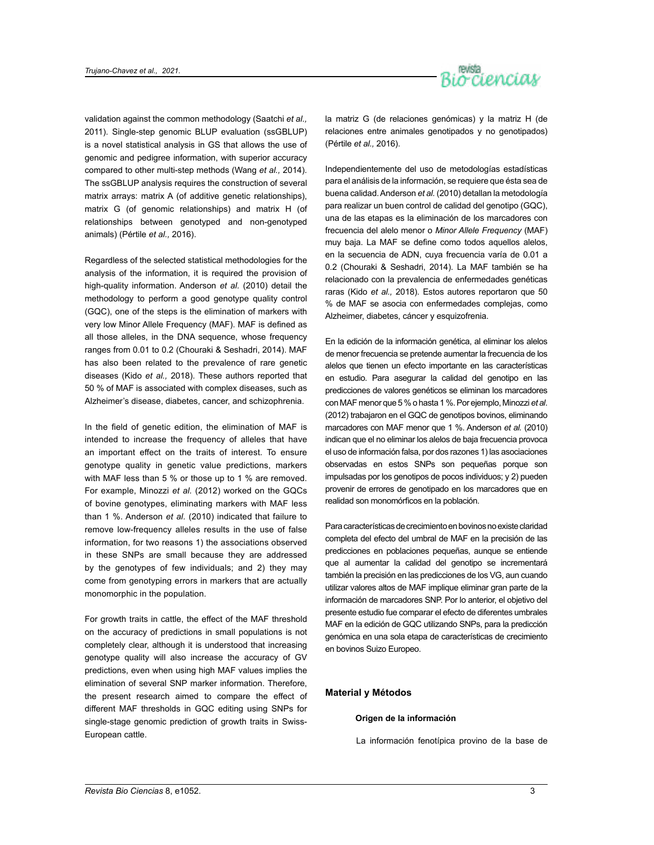

validation against the common methodology (Saatchi *et al.,*  2011). Single-step genomic BLUP evaluation (ssGBLUP) is a novel statistical analysis in GS that allows the use of genomic and pedigree information, with superior accuracy compared to other multi-step methods (Wang *et al.,* 2014). The ssGBLUP analysis requires the construction of several matrix arrays: matrix A (of additive genetic relationships), matrix G (of genomic relationships) and matrix H (of relationships between genotyped and non-genotyped animals) (Pértile *et al.,* 2016).

Regardless of the selected statistical methodologies for the analysis of the information, it is required the provision of high-quality information. Anderson *et al.* (2010) detail the methodology to perform a good genotype quality control (GQC), one of the steps is the elimination of markers with very low Minor Allele Frequency (MAF). MAF is defined as all those alleles, in the DNA sequence, whose frequency ranges from 0.01 to 0.2 (Chouraki & Seshadri, 2014). MAF has also been related to the prevalence of rare genetic diseases (Kido *et al.,* 2018). These authors reported that 50 % of MAF is associated with complex diseases, such as Alzheimer's disease, diabetes, cancer, and schizophrenia.

In the field of genetic edition, the elimination of MAF is intended to increase the frequency of alleles that have an important effect on the traits of interest. To ensure genotype quality in genetic value predictions, markers with MAF less than 5 % or those up to 1 % are removed. For example, Minozzi *et al.* (2012) worked on the GQCs of bovine genotypes, eliminating markers with MAF less than 1 %. Anderson *et al.* (2010) indicated that failure to remove low-frequency alleles results in the use of false information, for two reasons 1) the associations observed in these SNPs are small because they are addressed by the genotypes of few individuals; and 2) they may come from genotyping errors in markers that are actually monomorphic in the population.

For growth traits in cattle, the effect of the MAF threshold on the accuracy of predictions in small populations is not completely clear, although it is understood that increasing genotype quality will also increase the accuracy of GV predictions, even when using high MAF values implies the elimination of several SNP marker information. Therefore, the present research aimed to compare the effect of different MAF thresholds in GQC editing using SNPs for single-stage genomic prediction of growth traits in Swiss-European cattle.

la matriz G (de relaciones genómicas) y la matriz H (de relaciones entre animales genotipados y no genotipados) (Pértile *et al.,* 2016).

Independientemente del uso de metodologías estadísticas para el análisis de la información, se requiere que ésta sea de buena calidad. Anderson *et al.* (2010) detallan la metodología para realizar un buen control de calidad del genotipo (GQC), una de las etapas es la eliminación de los marcadores con frecuencia del alelo menor o *Minor Allele Frequency* (MAF) muy baja. La MAF se define como todos aquellos alelos, en la secuencia de ADN, cuya frecuencia varía de 0.01 a 0.2 (Chouraki & Seshadri, 2014). La MAF también se ha relacionado con la prevalencia de enfermedades genéticas raras (Kido *et al.,* 2018). Estos autores reportaron que 50 % de MAF se asocia con enfermedades complejas, como Alzheimer, diabetes, cáncer y esquizofrenia.

En la edición de la información genética, al eliminar los alelos de menor frecuencia se pretende aumentar la frecuencia de los alelos que tienen un efecto importante en las características en estudio. Para asegurar la calidad del genotipo en las predicciones de valores genéticos se eliminan los marcadores con MAF menor que 5 % o hasta 1 %. Por ejemplo, Minozzi *et al*. (2012) trabajaron en el GQC de genotipos bovinos, eliminando marcadores con MAF menor que 1 %. Anderson *et al.* (2010) indican que el no eliminar los alelos de baja frecuencia provoca el uso de información falsa, por dos razones 1) las asociaciones observadas en estos SNPs son pequeñas porque son impulsadas por los genotipos de pocos individuos; y 2) pueden provenir de errores de genotipado en los marcadores que en realidad son monomórficos en la población.

Para características de crecimiento en bovinos no existe claridad completa del efecto del umbral de MAF en la precisión de las predicciones en poblaciones pequeñas, aunque se entiende que al aumentar la calidad del genotipo se incrementará también la precisión en las predicciones de los VG, aun cuando utilizar valores altos de MAF implique eliminar gran parte de la información de marcadores SNP. Por lo anterior, el objetivo del presente estudio fue comparar el efecto de diferentes umbrales MAF en la edición de GQC utilizando SNPs, para la predicción genómica en una sola etapa de características de crecimiento en bovinos Suizo Europeo.

## **Material y Métodos**

## **Origen de la información**

La información fenotípica provino de la base de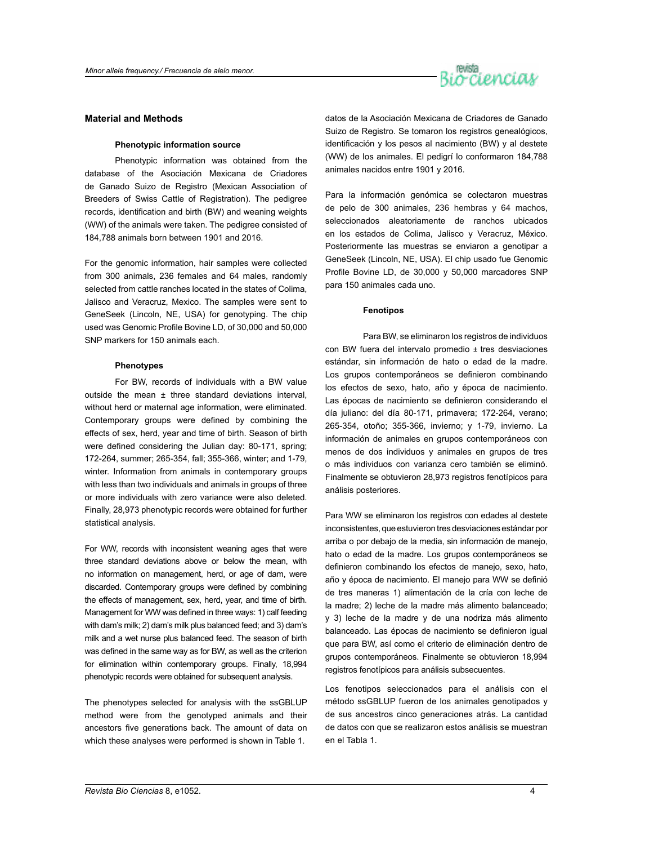

## **Material and Methods**

## **Phenotypic information source**

Phenotypic information was obtained from the database of the Asociación Mexicana de Criadores de Ganado Suizo de Registro (Mexican Association of Breeders of Swiss Cattle of Registration). The pedigree records, identification and birth (BW) and weaning weights (WW) of the animals were taken. The pedigree consisted of 184,788 animals born between 1901 and 2016.

For the genomic information, hair samples were collected from 300 animals, 236 females and 64 males, randomly selected from cattle ranches located in the states of Colima, Jalisco and Veracruz, Mexico. The samples were sent to GeneSeek (Lincoln, NE, USA) for genotyping. The chip used was Genomic Profile Bovine LD, of 30,000 and 50,000 SNP markers for 150 animals each.

## **Phenotypes**

For BW, records of individuals with a BW value outside the mean ± three standard deviations interval, without herd or maternal age information, were eliminated. Contemporary groups were defined by combining the effects of sex, herd, year and time of birth. Season of birth were defined considering the Julian day: 80-171, spring; 172-264, summer; 265-354, fall; 355-366, winter; and 1-79, winter. Information from animals in contemporary groups with less than two individuals and animals in groups of three or more individuals with zero variance were also deleted. Finally, 28,973 phenotypic records were obtained for further statistical analysis.

For WW, records with inconsistent weaning ages that were three standard deviations above or below the mean, with no information on management, herd, or age of dam, were discarded. Contemporary groups were defined by combining the effects of management, sex, herd, year, and time of birth. Management for WW was defined in three ways: 1) calf feeding with dam's milk; 2) dam's milk plus balanced feed; and 3) dam's milk and a wet nurse plus balanced feed. The season of birth was defined in the same way as for BW, as well as the criterion for elimination within contemporary groups. Finally, 18,994 phenotypic records were obtained for subsequent analysis.

The phenotypes selected for analysis with the ssGBLUP method were from the genotyped animals and their ancestors five generations back. The amount of data on which these analyses were performed is shown in Table 1.

datos de la Asociación Mexicana de Criadores de Ganado Suizo de Registro. Se tomaron los registros genealógicos, identificación y los pesos al nacimiento (BW) y al destete (WW) de los animales. El pedigrí lo conformaron 184,788 animales nacidos entre 1901 y 2016.

Para la información genómica se colectaron muestras de pelo de 300 animales, 236 hembras y 64 machos, seleccionados aleatoriamente de ranchos ubicados en los estados de Colima, Jalisco y Veracruz, México. Posteriormente las muestras se enviaron a genotipar a GeneSeek (Lincoln, NE, USA). El chip usado fue Genomic Profile Bovine LD, de 30,000 y 50,000 marcadores SNP para 150 animales cada uno.

#### **Fenotipos**

Para BW, se eliminaron los registros de individuos con BW fuera del intervalo promedio ± tres desviaciones estándar, sin información de hato o edad de la madre. Los grupos contemporáneos se definieron combinando los efectos de sexo, hato, año y época de nacimiento. Las épocas de nacimiento se definieron considerando el día juliano: del día 80-171, primavera; 172-264, verano; 265-354, otoño; 355-366, invierno; y 1-79, invierno. La información de animales en grupos contemporáneos con menos de dos individuos y animales en grupos de tres o más individuos con varianza cero también se eliminó. Finalmente se obtuvieron 28,973 registros fenotípicos para análisis posteriores.

Para WW se eliminaron los registros con edades al destete inconsistentes, que estuvieron tres desviaciones estándar por arriba o por debajo de la media, sin información de manejo, hato o edad de la madre. Los grupos contemporáneos se definieron combinando los efectos de manejo, sexo, hato, año y época de nacimiento. El manejo para WW se definió de tres maneras 1) alimentación de la cría con leche de la madre; 2) leche de la madre más alimento balanceado; y 3) leche de la madre y de una nodriza más alimento balanceado. Las épocas de nacimiento se definieron igual que para BW, así como el criterio de eliminación dentro de grupos contemporáneos. Finalmente se obtuvieron 18,994 registros fenotípicos para análisis subsecuentes.

Los fenotipos seleccionados para el análisis con el método ssGBLUP fueron de los animales genotipados y de sus ancestros cinco generaciones atrás. La cantidad de datos con que se realizaron estos análisis se muestran en el Tabla 1.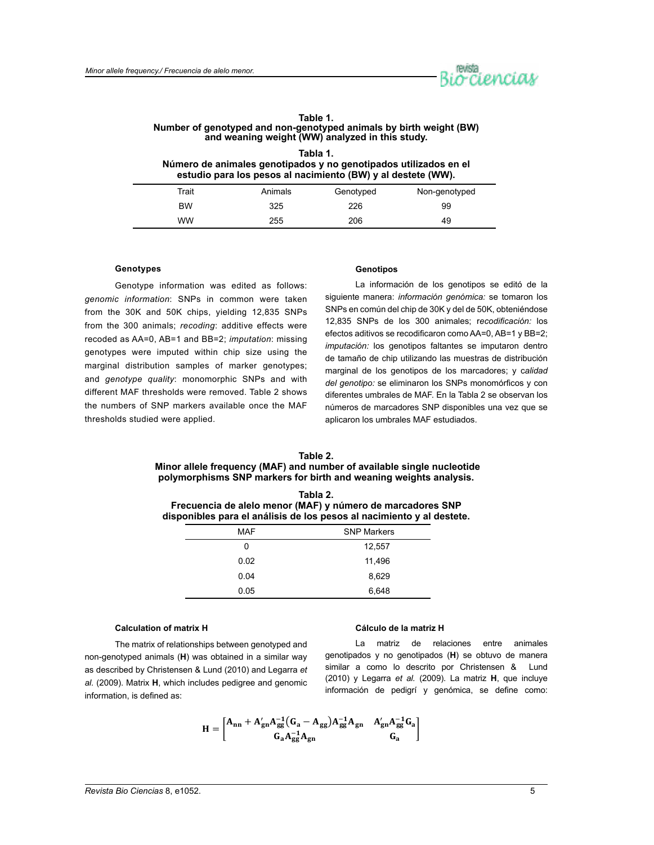

## **Table 1. Number of genotyped and non-genotyped animals by birth weight (BW) and weaning weight (WW) analyzed in this study.**

|                                                                  | Tabla 1. |  |  |
|------------------------------------------------------------------|----------|--|--|
| Número de animales genotipados y no genotipados utilizados en el |          |  |  |
| estudio para los pesos al nacimiento (BW) y al destete (WW).     |          |  |  |
|                                                                  |          |  |  |

| Trait | Animals | Genotyped | Non-genotyped |
|-------|---------|-----------|---------------|
| BW    | 325     | 226       | 99            |
| ww    | 255     | 206       | 49            |

## **Genotypes**

Genotype information was edited as follows: *genomic information*: SNPs in common were taken from the 30K and 50K chips, yielding 12,835 SNPs from the 300 animals; *recoding*: additive effects were recoded as AA=0, AB=1 and BB=2; *imputation*: missing genotypes were imputed within chip size using the marginal distribution samples of marker genotypes; and *genotype quality*: monomorphic SNPs and with different MAF thresholds were removed. Table 2 shows the numbers of SNP markers available once the MAF thresholds studied were applied.

#### **Genotipos**

La información de los genotipos se editó de la siguiente manera: *información genómica:* se tomaron los SNPs en común del chip de 30K y del de 50K, obteniéndose 12,835 SNPs de los 300 animales; r*ecodificación:* los efectos aditivos se recodificaron como AA=0, AB=1 y BB=2; *imputación:* los genotipos faltantes se imputaron dentro de tamaño de chip utilizando las muestras de distribución marginal de los genotipos de los marcadores; y c*alidad del genotipo:* se eliminaron los SNPs monomórficos y con diferentes umbrales de MAF. En la Tabla 2 se observan los números de marcadores SNP disponibles una vez que se aplicaron los umbrales MAF estudiados.

## **Table 2. Minor allele frequency (MAF) and number of available single nucleotide polymorphisms SNP markers for birth and weaning weights analysis.**

| Tabla 2.                                                              |
|-----------------------------------------------------------------------|
| Frecuencia de alelo menor (MAF) y número de marcadores SNP            |
| disponibles para el análisis de los pesos al nacimiento y al destete. |

| <b>MAF</b> | <b>SNP Markers</b> |
|------------|--------------------|
| 0          | 12,557             |
| 0.02       | 11,496             |
| 0.04       | 8,629              |
| 0.05       | 6,648              |

## **Calculation of matrix H**

## **Cálculo de la matriz H**

The matrix of relationships between genotyped and non-genotyped animals (**H**) was obtained in a similar way as described by Christensen & Lund (2010) and Legarra *et al.* (2009). Matrix **H**, which includes pedigree and genomic information, is defined as:

La matriz de relaciones entre animales genotipados y no genotipados (**H**) se obtuvo de manera similar a como lo descrito por Christensen & Lund (2010) y Legarra *et al.* (2009). La matriz **H**, que incluye información de pedigrí y genómica, se define como:

$$
H = \begin{bmatrix} A_{nn} + A'_{gn} A_{gg}^{-1} (G_a - A_{gg}) A_{gg}^{-1} A_{gn} & A'_{gn} A_{gg}^{-1} G_a \\ G_a A_{gg}^{-1} A_{gn} & G_a \end{bmatrix}
$$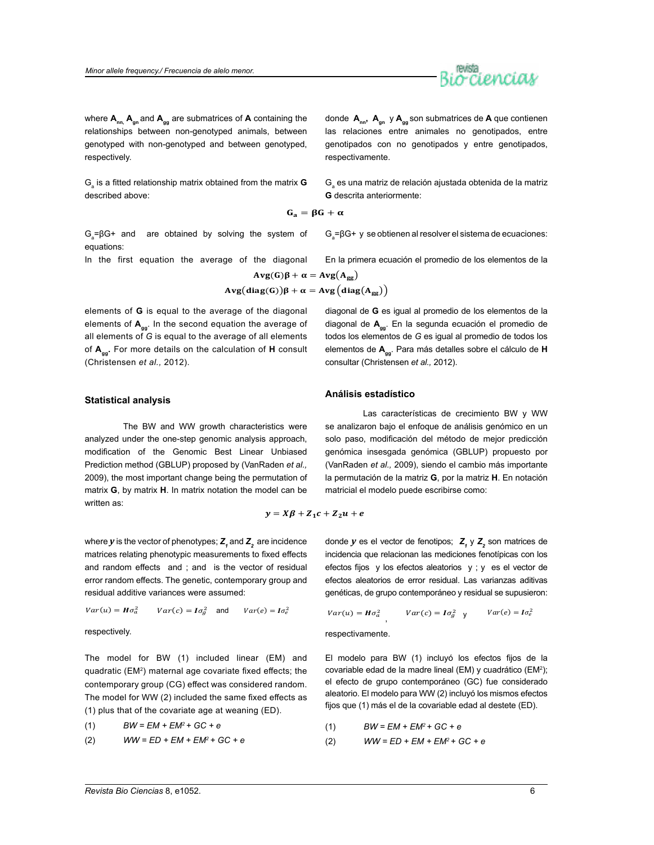

where  $A_{nn}$ ,  $A_{qn}$  and  $A_{qa}$  are submatrices of **A** containing the relationships between non-genotyped animals, between genotyped with non-genotyped and between genotyped, respectively.

 $\mathsf{G}_\mathsf{a}$  is a fitted relationship matrix obtained from the matrix **G** described above:

 $G_n = \beta G + \alpha$ 

 $G = \beta G +$  and are obtained by solving the system of equations:

In the first equation the average of the diagonal

$$
Avg(G)\beta + \alpha = Avg(A_{gg})
$$
  
 
$$
Avg(diag(G))\beta + \alpha = Avg\left(diag(A_{gg})\right)
$$

elements of **G** is equal to the average of the diagonal elements of **Agg**. In the second equation the average of all elements of *G* is equal to the average of all elements of **Agg.** For more details on the calculation of **H** consult (Christensen *et al.,* 2012).

donde **Ann, Agn** y **Agg** son submatrices de **A** que contienen las relaciones entre animales no genotipados, entre genotipados con no genotipados y entre genotipados, respectivamente.

 $\mathsf{G}_{\mathsf{a}}$  es una matriz de relación ajustada obtenida de la matriz **G** descrita anteriormente:

 $G_a = \beta G + y$  se obtienen al resolver el sistema de ecuaciones:

En la primera ecuación el promedio de los elementos de la

$$
Avg(\alpha)\beta + \alpha = Avg(A_{gg})
$$
  
diag(G))
$$
\beta + \alpha = Avg \left( diag(A_{gg}) \right)
$$

diagonal de **G** es igual al promedio de los elementos de la diagonal de **Agg**. En la segunda ecuación el promedio de todos los elementos de *G* es igual al promedio de todos los elementos de **Agg**. Para más detalles sobre el cálculo de **H** consultar (Christensen *et al.,* 2012).

se analizaron bajo el enfoque de análisis genómico en un solo paso, modificación del método de mejor predicción genómica insesgada genómica (GBLUP) propuesto por (VanRaden *et al.,* 2009), siendo el cambio más importante la permutación de la matriz **G**, por la matriz **H**. En notación

matricial el modelo puede escribirse como:

Las características de crecimiento BW y WW

## **Statistical analysis**

The BW and WW growth characteristics were analyzed under the one-step genomic analysis approach, modification of the Genomic Best Linear Unbiased Prediction method (GBLUP) proposed by (VanRaden *et al.,*  2009), the most important change being the permutation of matrix **G**, by matrix **H**. In matrix notation the model can be written as:

 $y = X\beta + Z_1c + Z_2u + e$ 

where  $y$  is the vector of phenotypes;  $\textsf{Z}_\textsf{1}$  and  $\textsf{Z}_\textsf{2}$  are incidence matrices relating phenotypic measurements to fixed effects and random effects and ; and is the vector of residual error random effects. The genetic, contemporary group and residual additive variances were assumed:

$$
Var(u) = H\sigma_a^2 \qquad Var(c) = I\sigma_g^2 \quad \text{and} \qquad Var(e) = I\sigma_e^2
$$

respectively.

The model for BW (1) included linear (EM) and quadratic (EM2) maternal age covariate fixed effects; the contemporary group (CG) effect was considered random. The model for WW (2) included the same fixed effects as (1) plus that of the covariate age at weaning (ED).

$$
(1) \qquad BW = EM + EM^2 + GC + e
$$

$$
(2) \qquad WW = ED + EM + EM^2 + GC + e
$$

donde *y* es el vector de fenotipos;  $Z_1$  y  $Z_2$  son matrices de incidencia que relacionan las mediciones fenotípicas con los efectos fijos y los efectos aleatorios y ; y es el vector de efectos aleatorios de error residual. Las varianzas aditivas genéticas, de grupo contemporáneo y residual se supusieron:

$$
Var(u) = H\sigma_a^2 \qquad Var(c) = I\sigma_g^2 \qquad Var(e) = I\sigma_e^2
$$

respectivamente.

**Análisis estadístico**

El modelo para BW (1) incluyó los efectos fijos de la covariable edad de la madre lineal (EM) y cuadrático (EM<sup>2</sup>); el efecto de grupo contemporáneo (GC) fue considerado aleatorio. El modelo para WW (2) incluyó los mismos efectos fijos que (1) más el de la covariable edad al destete (ED).

$$
(1) \qquad BW = EM + EM^2 + GC + e
$$

$$
(2) \qquad WW = ED + EM + EM^2 + GC + e
$$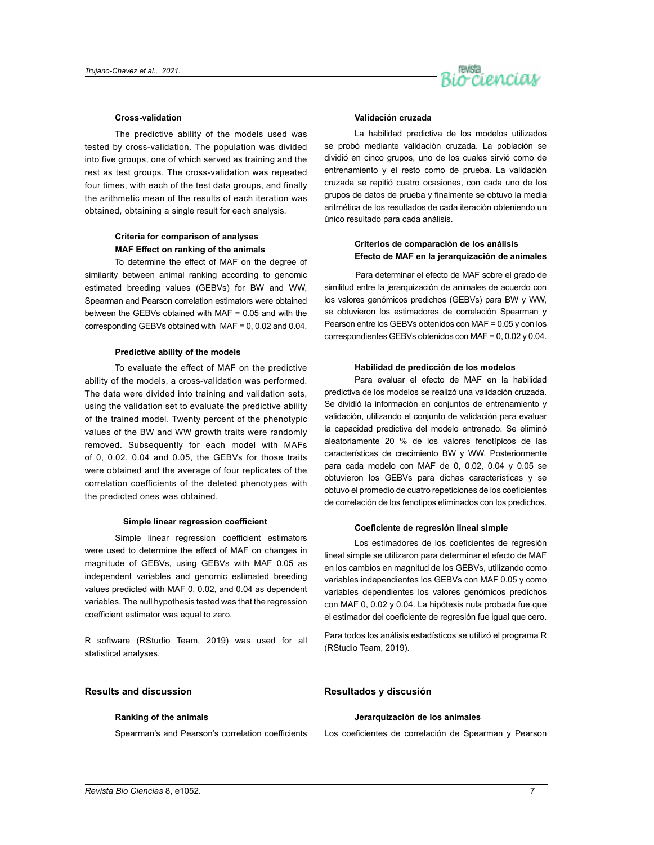

#### **Cross-validation**

The predictive ability of the models used was tested by cross-validation. The population was divided into five groups, one of which served as training and the rest as test groups. The cross-validation was repeated four times, with each of the test data groups, and finally the arithmetic mean of the results of each iteration was obtained, obtaining a single result for each analysis.

## **Criteria for comparison of analyses MAF Effect on ranking of the animals**

To determine the effect of MAF on the degree of similarity between animal ranking according to genomic estimated breeding values (GEBVs) for BW and WW, Spearman and Pearson correlation estimators were obtained between the GEBVs obtained with MAF = 0.05 and with the corresponding GEBVs obtained with MAF = 0, 0.02 and 0.04.

#### **Predictive ability of the models**

To evaluate the effect of MAF on the predictive ability of the models, a cross-validation was performed. The data were divided into training and validation sets, using the validation set to evaluate the predictive ability of the trained model. Twenty percent of the phenotypic values of the BW and WW growth traits were randomly removed. Subsequently for each model with MAFs of 0, 0.02, 0.04 and 0.05, the GEBVs for those traits were obtained and the average of four replicates of the correlation coefficients of the deleted phenotypes with the predicted ones was obtained.

#### **Simple linear regression coefficient**

Simple linear regression coefficient estimators were used to determine the effect of MAF on changes in magnitude of GEBVs, using GEBVs with MAF 0.05 as independent variables and genomic estimated breeding values predicted with MAF 0, 0.02, and 0.04 as dependent variables. The null hypothesis tested was that the regression coefficient estimator was equal to zero.

R software (RStudio Team, 2019) was used for all statistical analyses.

## **Results and discussion**

#### **Ranking of the animals**

Spearman's and Pearson's correlation coefficients

## **Validación cruzada**

La habilidad predictiva de los modelos utilizados se probó mediante validación cruzada. La población se dividió en cinco grupos, uno de los cuales sirvió como de entrenamiento y el resto como de prueba. La validación cruzada se repitió cuatro ocasiones, con cada uno de los grupos de datos de prueba y finalmente se obtuvo la media aritmética de los resultados de cada iteración obteniendo un único resultado para cada análisis.

## **Criterios de comparación de los análisis Efecto de MAF en la jerarquización de animales**

Para determinar el efecto de MAF sobre el grado de similitud entre la jerarquización de animales de acuerdo con los valores genómicos predichos (GEBVs) para BW y WW, se obtuvieron los estimadores de correlación Spearman y Pearson entre los GEBVs obtenidos con MAF = 0.05 y con los correspondientes GEBVs obtenidos con MAF = 0, 0.02 y 0.04.

## **Habilidad de predicción de los modelos**

Para evaluar el efecto de MAF en la habilidad predictiva de los modelos se realizó una validación cruzada. Se dividió la información en conjuntos de entrenamiento y validación, utilizando el conjunto de validación para evaluar la capacidad predictiva del modelo entrenado. Se eliminó aleatoriamente 20 % de los valores fenotípicos de las características de crecimiento BW y WW. Posteriormente para cada modelo con MAF de 0, 0.02, 0.04 y 0.05 se obtuvieron los GEBVs para dichas características y se obtuvo el promedio de cuatro repeticiones de los coeficientes de correlación de los fenotipos eliminados con los predichos.

#### **Coeficiente de regresión lineal simple**

Los estimadores de los coeficientes de regresión lineal simple se utilizaron para determinar el efecto de MAF en los cambios en magnitud de los GEBVs, utilizando como variables independientes los GEBVs con MAF 0.05 y como variables dependientes los valores genómicos predichos con MAF 0, 0.02 y 0.04. La hipótesis nula probada fue que el estimador del coeficiente de regresión fue igual que cero.

Para todos los análisis estadísticos se utilizó el programa R (RStudio Team, 2019).

#### **Resultados y discusión**

#### **Jerarquización de los animales**

Los coeficientes de correlación de Spearman y Pearson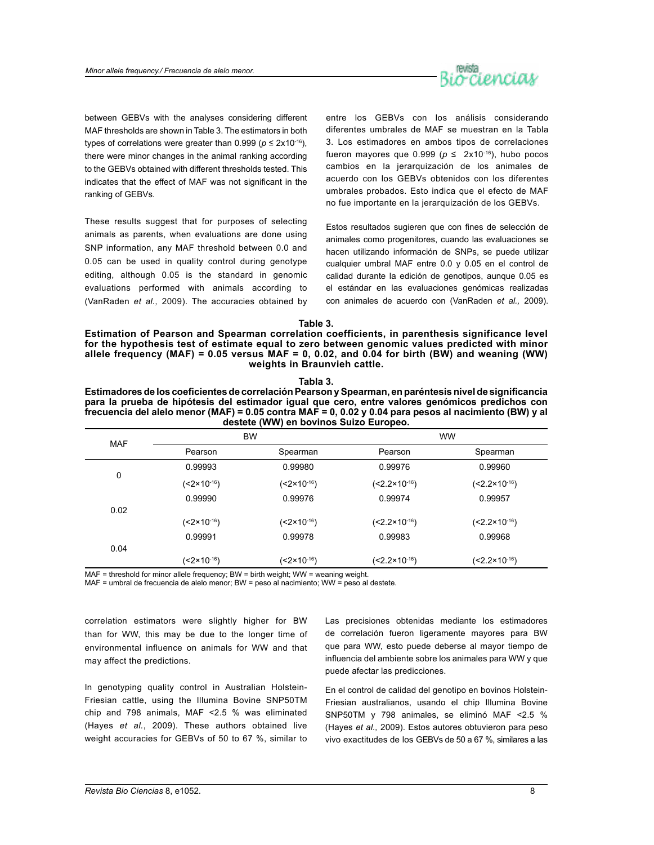

between GEBVs with the analyses considering different MAF thresholds are shown in Table 3. The estimators in both types of correlations were greater than  $0.999$  ( $p \le 2 \times 10^{-16}$ ), there were minor changes in the animal ranking according to the GEBVs obtained with different thresholds tested. This indicates that the effect of MAF was not significant in the ranking of GEBVs.

These results suggest that for purposes of selecting animals as parents, when evaluations are done using SNP information, any MAF threshold between 0.0 and 0.05 can be used in quality control during genotype editing, although 0.05 is the standard in genomic evaluations performed with animals according to (VanRaden *et al.,* 2009). The accuracies obtained by

entre los GEBVs con los análisis considerando diferentes umbrales de MAF se muestran en la Tabla 3. Los estimadores en ambos tipos de correlaciones fueron mayores que  $0.999$  ( $p \le 2x10^{-16}$ ), hubo pocos cambios en la jerarquización de los animales de acuerdo con los GEBVs obtenidos con los diferentes umbrales probados. Esto indica que el efecto de MAF no fue importante en la jerarquización de los GEBVs.

Estos resultados sugieren que con fines de selección de animales como progenitores, cuando las evaluaciones se hacen utilizando información de SNPs, se puede utilizar cualquier umbral MAF entre 0.0 y 0.05 en el control de calidad durante la edición de genotipos, aunque 0.05 es el estándar en las evaluaciones genómicas realizadas con animales de acuerdo con (VanRaden *et al.,* 2009).

**Table 3.** 

**Estimation of Pearson and Spearman correlation coefficients, in parenthesis significance level for the hypothesis test of estimate equal to zero between genomic values predicted with minor allele frequency (MAF) = 0.05 versus MAF = 0, 0.02, and 0.04 for birth (BW) and weaning (WW) weights in Braunvieh cattle.**

**Tabla 3.**

| Pearson<br>Pearson<br>Spearman<br>0.99993<br>0.99980<br>0.99976<br>0<br>(<2×10 <sup>-16</sup> )<br>(<2×10 <sup>-16</sup> )<br>(<2.2×10 <sup>-16</sup> ) |            |                         | <b>BW</b>               |                           | <b>WW</b>                 |
|---------------------------------------------------------------------------------------------------------------------------------------------------------|------------|-------------------------|-------------------------|---------------------------|---------------------------|
|                                                                                                                                                         | <b>MAF</b> |                         |                         |                           | Spearman                  |
|                                                                                                                                                         |            |                         |                         |                           | 0.99960                   |
|                                                                                                                                                         |            |                         |                         |                           | (<2.2×10 <sup>-16</sup> ) |
|                                                                                                                                                         |            | 0.99990                 | 0.99976                 | 0.99974                   | 0.99957                   |
|                                                                                                                                                         |            | (<2×10 <sup>-16</sup> ) | (<2×10 <sup>-16</sup> ) | (<2.2×10 <sup>-16</sup> ) | (<2.2×10 <sup>-16</sup> ) |
|                                                                                                                                                         |            | 0.99991                 | 0.99978                 | 0.99983                   | 0.99968                   |
|                                                                                                                                                         | 0.04       |                         |                         |                           |                           |

 $(<2\times10^{-16})$ 

MAF = threshold for minor allele frequency; BW = birth weight; WW = weaning weight.

MAF = umbral de frecuencia de alelo menor; BW = peso al nacimiento; WW = peso al destete.

correlation estimators were slightly higher for BW than for WW, this may be due to the longer time of environmental influence on animals for WW and that may affect the predictions.

 $(2 \times 10^{-16})$ 

In genotyping quality control in Australian Holstein-Friesian cattle, using the Illumina Bovine SNP50TM chip and 798 animals, MAF <2.5 % was eliminated (Hayes *et al.*, 2009). These authors obtained live weight accuracies for GEBVs of 50 to 67 %, similar to Las precisiones obtenidas mediante los estimadores de correlación fueron ligeramente mayores para BW que para WW, esto puede deberse al mayor tiempo de influencia del ambiente sobre los animales para WW y que puede afectar las predicciones.

 $(2.2 \times 10^{-16})$ 

 $(<2.2\times10^{-16})$ 

En el control de calidad del genotipo en bovinos Holstein-Friesian australianos, usando el chip Illumina Bovine SNP50TM y 798 animales, se eliminó MAF <2.5 % (Hayes *et al.,* 2009). Estos autores obtuvieron para peso vivo exactitudes de los GEBVs de 50 a 67 %, similares a las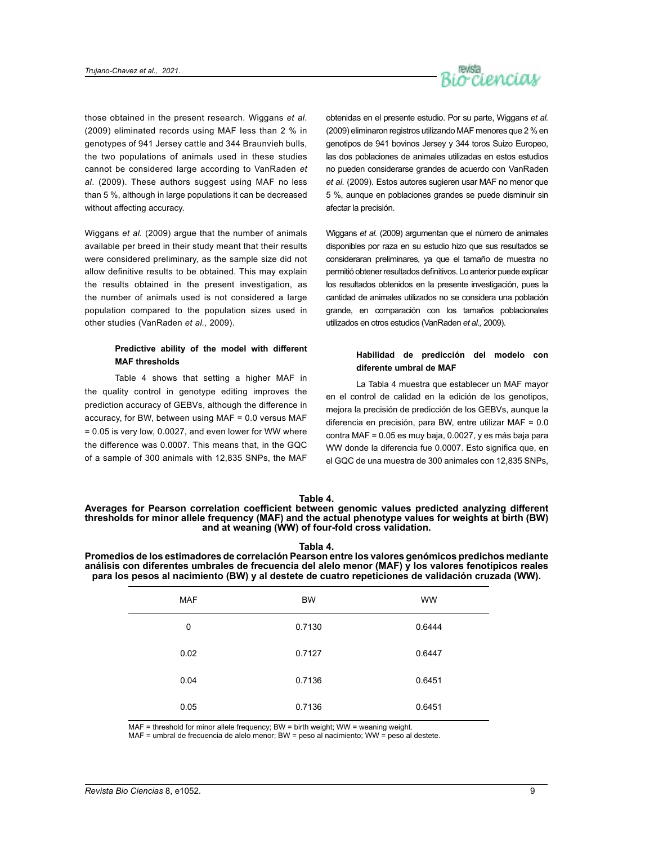

those obtained in the present research. Wiggans *et al*. (2009) eliminated records using MAF less than 2 % in genotypes of 941 Jersey cattle and 344 Braunvieh bulls, the two populations of animals used in these studies cannot be considered large according to VanRaden *et al*. (2009). These authors suggest using MAF no less than 5 %, although in large populations it can be decreased without affecting accuracy.

Wiggans *et al.* (2009) argue that the number of animals available per breed in their study meant that their results were considered preliminary, as the sample size did not allow definitive results to be obtained. This may explain the results obtained in the present investigation, as the number of animals used is not considered a large population compared to the population sizes used in other studies (VanRaden *et al.,* 2009).

## **Predictive ability of the model with different MAF thresholds**

Table 4 shows that setting a higher MAF in the quality control in genotype editing improves the prediction accuracy of GEBVs, although the difference in accuracy, for BW, between using MAF = 0.0 versus MAF = 0.05 is very low, 0.0027, and even lower for WW where the difference was 0.0007. This means that, in the GQC of a sample of 300 animals with 12,835 SNPs, the MAF

obtenidas en el presente estudio. Por su parte, Wiggans *et al.* (2009) eliminaron registros utilizando MAF menores que 2 % en genotipos de 941 bovinos Jersey y 344 toros Suizo Europeo, las dos poblaciones de animales utilizadas en estos estudios no pueden considerarse grandes de acuerdo con VanRaden *et al.* (2009). Estos autores sugieren usar MAF no menor que 5 %, aunque en poblaciones grandes se puede disminuir sin afectar la precisión.

Wiggans *et al.* (2009) argumentan que el número de animales disponibles por raza en su estudio hizo que sus resultados se consideraran preliminares, ya que el tamaño de muestra no permitió obtener resultados definitivos. Lo anterior puede explicar los resultados obtenidos en la presente investigación, pues la cantidad de animales utilizados no se considera una población grande, en comparación con los tamaños poblacionales utilizados en otros estudios (VanRaden *et al.,* 2009).

## **Habilidad de predicción del modelo con diferente umbral de MAF**

La Tabla 4 muestra que establecer un MAF mayor en el control de calidad en la edición de los genotipos, mejora la precisión de predicción de los GEBVs, aunque la diferencia en precisión, para BW, entre utilizar MAF = 0.0 contra MAF = 0.05 es muy baja, 0.0027, y es más baja para WW donde la diferencia fue 0.0007. Esto significa que, en el GQC de una muestra de 300 animales con 12,835 SNPs,

## **Table 4.**

**Averages for Pearson correlation coefficient between genomic values predicted analyzing different thresholds for minor allele frequency (MAF) and the actual phenotype values for weights at birth (BW) and at weaning (WW) of four-fold cross validation.**

| . .<br>×<br>×<br>۰,<br>. . |  |
|----------------------------|--|
|----------------------------|--|

**Promedios de los estimadores de correlación Pearson entre los valores genómicos predichos mediante análisis con diferentes umbrales de frecuencia del alelo menor (MAF) y los valores fenotípicos reales para los pesos al nacimiento (BW) y al destete de cuatro repeticiones de validación cruzada (WW).**

| <b>MAF</b> | <b>BW</b> | <b>WW</b> |
|------------|-----------|-----------|
| 0          | 0.7130    | 0.6444    |
| 0.02       | 0.7127    | 0.6447    |
| 0.04       | 0.7136    | 0.6451    |
| 0.05       | 0.7136    | 0.6451    |

MAF = threshold for minor allele frequency; BW = birth weight; WW = weaning weight.

MAF = umbral de frecuencia de alelo menor; BW = peso al nacimiento; WW = peso al destete.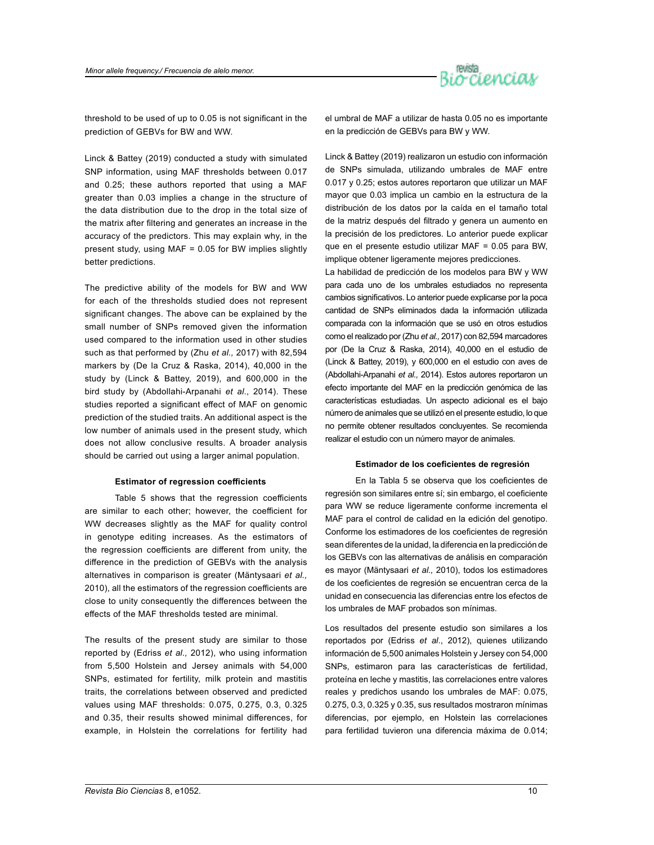

threshold to be used of up to 0.05 is not significant in the prediction of GEBVs for BW and WW.

Linck & Battey (2019) conducted a study with simulated SNP information, using MAF thresholds between 0.017 and 0.25; these authors reported that using a MAF greater than 0.03 implies a change in the structure of the data distribution due to the drop in the total size of the matrix after filtering and generates an increase in the accuracy of the predictors. This may explain why, in the present study, using MAF = 0.05 for BW implies slightly better predictions.

The predictive ability of the models for BW and WW for each of the thresholds studied does not represent significant changes. The above can be explained by the small number of SNPs removed given the information used compared to the information used in other studies such as that performed by (Zhu *et al.,* 2017) with 82,594 markers by (De la Cruz & Raska, 2014), 40,000 in the study by (Linck & Battey, 2019), and 600,000 in the bird study by (Abdollahi-Arpanahi *et al*., 2014). These studies reported a significant effect of MAF on genomic prediction of the studied traits. An additional aspect is the low number of animals used in the present study, which does not allow conclusive results. A broader analysis should be carried out using a larger animal population.

#### **Estimator of regression coefficients**

Table 5 shows that the regression coefficients are similar to each other; however, the coefficient for WW decreases slightly as the MAF for quality control in genotype editing increases. As the estimators of the regression coefficients are different from unity, the difference in the prediction of GEBVs with the analysis alternatives in comparison is greater (Mäntysaari *et al.,*  2010), all the estimators of the regression coefficients are close to unity consequently the differences between the effects of the MAF thresholds tested are minimal.

The results of the present study are similar to those reported by (Edriss *et al.,* 2012), who using information from 5,500 Holstein and Jersey animals with 54,000 SNPs, estimated for fertility, milk protein and mastitis traits, the correlations between observed and predicted values using MAF thresholds: 0.075, 0.275, 0.3, 0.325 and 0.35, their results showed minimal differences, for example, in Holstein the correlations for fertility had el umbral de MAF a utilizar de hasta 0.05 no es importante en la predicción de GEBVs para BW y WW.

Linck & Battey (2019) realizaron un estudio con información de SNPs simulada, utilizando umbrales de MAF entre 0.017 y 0.25; estos autores reportaron que utilizar un MAF mayor que 0.03 implica un cambio en la estructura de la distribución de los datos por la caída en el tamaño total de la matriz después del filtrado y genera un aumento en la precisión de los predictores. Lo anterior puede explicar que en el presente estudio utilizar MAF = 0.05 para BW, implique obtener ligeramente mejores predicciones.

La habilidad de predicción de los modelos para BW y WW para cada uno de los umbrales estudiados no representa cambios significativos. Lo anterior puede explicarse por la poca cantidad de SNPs eliminados dada la información utilizada comparada con la información que se usó en otros estudios como el realizado por (Zhu *et al.,* 2017) con 82,594 marcadores por (De la Cruz & Raska, 2014), 40,000 en el estudio de (Linck & Battey, 2019), y 600,000 en el estudio con aves de (Abdollahi-Arpanahi *et al.,* 2014). Estos autores reportaron un efecto importante del MAF en la predicción genómica de las características estudiadas. Un aspecto adicional es el bajo número de animales que se utilizó en el presente estudio, lo que no permite obtener resultados concluyentes. Se recomienda realizar el estudio con un número mayor de animales.

#### **Estimador de los coeficientes de regresión**

En la Tabla 5 se observa que los coeficientes de regresión son similares entre sí; sin embargo, el coeficiente para WW se reduce ligeramente conforme incrementa el MAF para el control de calidad en la edición del genotipo. Conforme los estimadores de los coeficientes de regresión sean diferentes de la unidad, la diferencia en la predicción de los GEBVs con las alternativas de análisis en comparación es mayor (Mäntysaari *et al.,* 2010), todos los estimadores de los coeficientes de regresión se encuentran cerca de la unidad en consecuencia las diferencias entre los efectos de los umbrales de MAF probados son mínimas.

Los resultados del presente estudio son similares a los reportados por (Edriss *et al*., 2012), quienes utilizando información de 5,500 animales Holstein y Jersey con 54,000 SNPs, estimaron para las características de fertilidad, proteína en leche y mastitis, las correlaciones entre valores reales y predichos usando los umbrales de MAF: 0.075, 0.275, 0.3, 0.325 y 0.35, sus resultados mostraron mínimas diferencias, por ejemplo, en Holstein las correlaciones para fertilidad tuvieron una diferencia máxima de 0.014;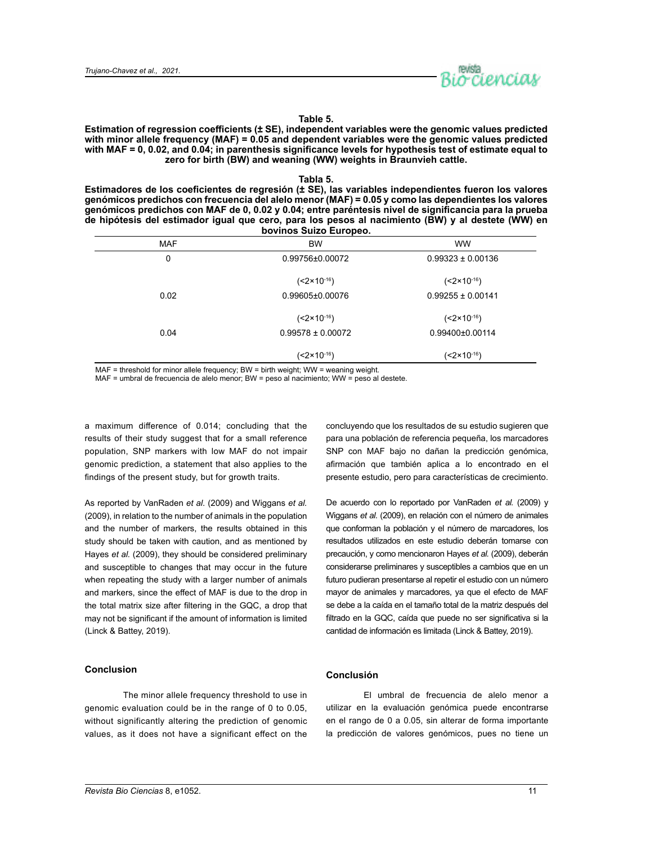

## **Table 5.**

**Estimation of regression coefficients (± SE), independent variables were the genomic values predicted with minor allele frequency (MAF) = 0.05 and dependent variables were the genomic values predicted with MAF = 0, 0.02, and 0.04; in parenthesis significance levels for hypothesis test of estimate equal to zero for birth (BW) and weaning (WW) weights in Braunvieh cattle.**

#### **Tabla 5.**

**Estimadores de los coeficientes de regresión (± SE), las variables independientes fueron los valores genómicos predichos con frecuencia del alelo menor (MAF) = 0.05 y como las dependientes los valores genómicos predichos con MAF de 0, 0.02 y 0.04; entre paréntesis nivel de significancia para la prueba de hipótesis del estimador igual que cero, para los pesos al nacimiento (BW) y al destete (WW) en bovinos Suizo Europeo.**

|            | <b>DOAIIIOS OMITA FAIADED'</b> |                        |
|------------|--------------------------------|------------------------|
| <b>MAF</b> | <b>BW</b>                      | <b>WW</b>              |
| 0          | 0.99756±0.00072                | $0.99323 \pm 0.00136$  |
|            | (<2×10 <sup>-16</sup> )        | $(<2 \times 10^{-16})$ |
| 0.02       | 0.99605±0.00076                | $0.99255 \pm 0.00141$  |
|            | (<2×10 <sup>-16</sup> )        | $(<2 \times 10^{-16})$ |
| 0.04       | $0.99578 \pm 0.00072$          | 0.99400±0.00114        |
|            | (<2×10 <sup>-16</sup> )        | $(<2 \times 10^{-16})$ |

MAF = threshold for minor allele frequency; BW = birth weight; WW = weaning weight.

MAF = umbral de frecuencia de alelo menor; BW = peso al nacimiento; WW = peso al destete.

a maximum difference of 0.014; concluding that the results of their study suggest that for a small reference population, SNP markers with low MAF do not impair genomic prediction, a statement that also applies to the findings of the present study, but for growth traits.

As reported by VanRaden *et al*. (2009) and Wiggans *et al.*  (2009), in relation to the number of animals in the population and the number of markers, the results obtained in this study should be taken with caution, and as mentioned by Hayes *et al.* (2009), they should be considered preliminary and susceptible to changes that may occur in the future when repeating the study with a larger number of animals and markers, since the effect of MAF is due to the drop in the total matrix size after filtering in the GQC, a drop that may not be significant if the amount of information is limited (Linck & Battey, 2019).

## **Conclusion**

The minor allele frequency threshold to use in genomic evaluation could be in the range of 0 to 0.05, without significantly altering the prediction of genomic values, as it does not have a significant effect on the concluyendo que los resultados de su estudio sugieren que para una población de referencia pequeña, los marcadores SNP con MAF bajo no dañan la predicción genómica, afirmación que también aplica a lo encontrado en el presente estudio, pero para características de crecimiento.

De acuerdo con lo reportado por VanRaden *et al.* (2009) y Wiggans *et al.* (2009), en relación con el número de animales que conforman la población y el número de marcadores, los resultados utilizados en este estudio deberán tomarse con precaución, y como mencionaron Hayes *et al.* (2009), deberán considerarse preliminares y susceptibles a cambios que en un futuro pudieran presentarse al repetir el estudio con un número mayor de animales y marcadores, ya que el efecto de MAF se debe a la caída en el tamaño total de la matriz después del filtrado en la GQC, caída que puede no ser significativa si la cantidad de información es limitada (Linck & Battey, 2019).

## **Conclusión**

El umbral de frecuencia de alelo menor a utilizar en la evaluación genómica puede encontrarse en el rango de 0 a 0.05, sin alterar de forma importante la predicción de valores genómicos, pues no tiene un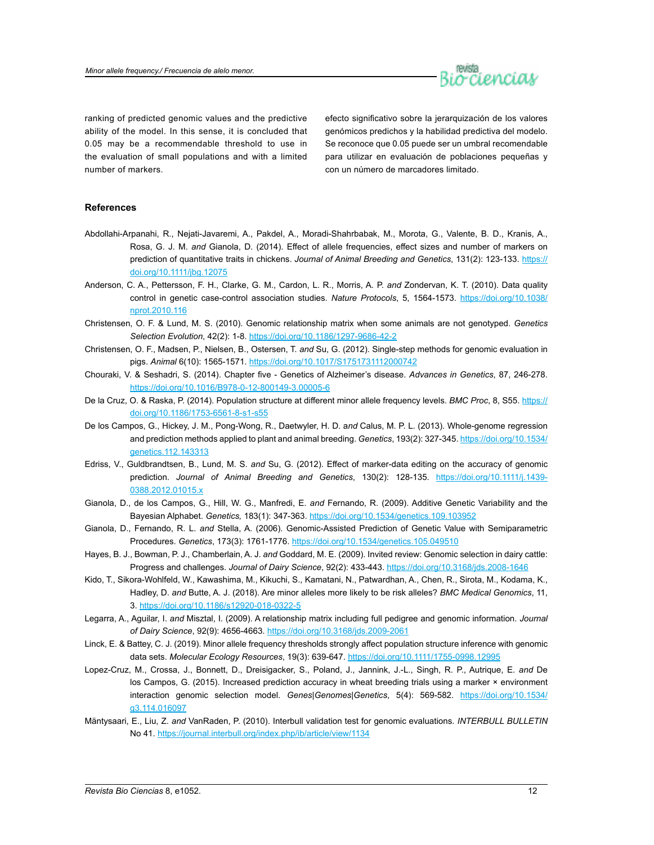

ranking of predicted genomic values and the predictive ability of the model. In this sense, it is concluded that 0.05 may be a recommendable threshold to use in the evaluation of small populations and with a limited number of markers.

efecto significativo sobre la jerarquización de los valores genómicos predichos y la habilidad predictiva del modelo. Se reconoce que 0.05 puede ser un umbral recomendable para utilizar en evaluación de poblaciones pequeñas y con un número de marcadores limitado.

## **References**

- Abdollahi-Arpanahi, R., Nejati-Javaremi, A., Pakdel, A., Moradi-Shahrbabak, M., Morota, G., Valente, B. D., Kranis, A., Rosa, G. J. M. *and* Gianola, D. (2014). Effect of allele frequencies, effect sizes and number of markers on prediction of quantitative traits in chickens. *Journal of Animal Breeding and Genetics*, 131(2): 123-133. [https://](https://doi.org/10.1111/jbg.12075) [doi.org/10.1111/jbg.12075](https://doi.org/10.1111/jbg.12075)
- Anderson, C. A., Pettersson, F. H., Clarke, G. M., Cardon, L. R., Morris, A. P. *and* Zondervan, K. T. (2010). Data quality control in genetic case-control association studies. *Nature Protocols*, 5, 1564-1573. [https://doi.org/10.1038/](https://doi.org/10.1038/nprot.2010.116) [nprot.2010.116](https://doi.org/10.1038/nprot.2010.116)
- Christensen, O. F. & Lund, M. S. (2010). Genomic relationship matrix when some animals are not genotyped. *Genetics Selection Evolution*, 42(2): 1-8. <https://doi.org/10.1186/1297-9686-42-2>
- Christensen, O. F., Madsen, P., Nielsen, B., Ostersen, T. *and* Su, G. (2012). Single-step methods for genomic evaluation in pigs. *Animal* 6(10): 1565-1571. <https://doi.org/10.1017/S1751731112000742>
- Chouraki, V. & Seshadri, S. (2014). Chapter five Genetics of Alzheimer's disease. *Advances in Genetics*, 87, 246-278. <https://doi.org/10.1016/B978-0-12-800149-3.00005-6>
- De la Cruz, O. & Raska, P. (2014). Population structure at different minor allele frequency levels. *BMC Proc*, 8, S55. [https://](https://doi.org/10.1186/1753-6561-8-s1-s55) [doi.org/10.1186/1753-6561-8-s1-s55](https://doi.org/10.1186/1753-6561-8-s1-s55)
- De los Campos, G., Hickey, J. M., Pong-Wong, R., Daetwyler, H. D. a*nd* Calus, M. P. L. (2013). Whole-genome regression and prediction methods applied to plant and animal breeding. *Genetics*, 193(2): 327-345. [https://doi.org/10.1534/](https://doi.org/10.1534/genetics.112.143313) [genetics.112.143313](https://doi.org/10.1534/genetics.112.143313)
- Edriss, V., Guldbrandtsen, B., Lund, M. S. *and* Su, G. (2012). Effect of marker-data editing on the accuracy of genomic prediction. *Journal of Animal Breeding and Genetics*, 130(2): 128-135. [https://doi.org/10.1111/j.1439-](https://doi.org/10.1111/j.1439-0388.2012.01015.x) [0388.2012.01015.x](https://doi.org/10.1111/j.1439-0388.2012.01015.x)
- Gianola, D., de los Campos, G., Hill, W. G., Manfredi, E. *and* Fernando, R. (2009). Additive Genetic Variability and the Bayesian Alphabet. *Genetics,* 183(1): 347-363. <https://doi.org/10.1534/genetics.109.103952>
- Gianola, D., Fernando, R. L. *and* Stella, A. (2006). Genomic-Assisted Prediction of Genetic Value with Semiparametric Procedures. *Genetics*, 173(3): 1761-1776. <https://doi.org/10.1534/genetics.105.049510>
- Hayes, B. J., Bowman, P. J., Chamberlain, A. J. *and* Goddard, M. E. (2009). Invited review: Genomic selection in dairy cattle: Progress and challenges. *Journal of Dairy Science*, 92(2): 433-443.<https://doi.org/10.3168/jds.2008-1646>
- Kido, T., Sikora-Wohlfeld, W., Kawashima, M., Kikuchi, S., Kamatani, N., Patwardhan, A., Chen, R., Sirota, M., Kodama, K., Hadley, D. *and* Butte, A. J. (2018). Are minor alleles more likely to be risk alleles? *BMC Medical Genomics*, 11, 3. <https://doi.org/10.1186/s12920-018-0322-5>
- Legarra, A., Aguilar, I. *and* Misztal, I. (2009). A relationship matrix including full pedigree and genomic information. *Journal of Dairy Science*, 92(9): 4656-4663.<https://doi.org/10.3168/jds.2009-2061>
- Linck, E. & Battey, C. J. (2019). Minor allele frequency thresholds strongly affect population structure inference with genomic data sets. *Molecular Ecology Resources*, 19(3): 639-647. <https://doi.org/10.1111/1755-0998.12995>
- Lopez-Cruz, M., Crossa, J., Bonnett, D., Dreisigacker, S., Poland, J., Jannink, J.-L., Singh, R. P., Autrique, E. *and* De los Campos, G. (2015). Increased prediction accuracy in wheat breeding trials using a marker × environment interaction genomic selection model. *Genes|Genomes|Genetics*, 5(4): 569-582. [https://doi.org/10.1534/](https://doi.org/10.1534/g3.114.016097) [g3.114.016097](https://doi.org/10.1534/g3.114.016097)
- Mäntysaari, E., Liu, Z. *and* VanRaden, P. (2010). Interbull validation test for genomic evaluations. *INTERBULL BULLETIN*  No 41. <https://journal.interbull.org/index.php/ib/article/view/1134>